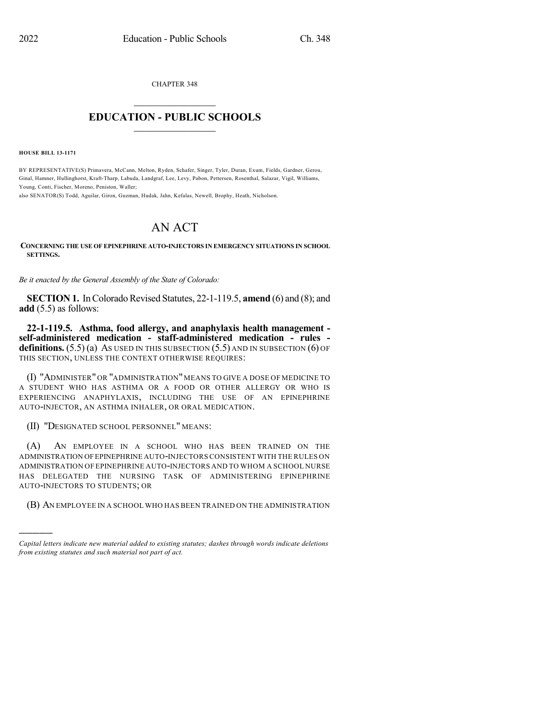CHAPTER 348

## $\mathcal{L}_\text{max}$  . The set of the set of the set of the set of the set of the set of the set of the set of the set of the set of the set of the set of the set of the set of the set of the set of the set of the set of the set **EDUCATION - PUBLIC SCHOOLS**  $\_$   $\_$   $\_$   $\_$   $\_$   $\_$   $\_$   $\_$   $\_$

**HOUSE BILL 13-1171**

)))))

BY REPRESENTATIVE(S) Primavera, McCann, Melton, Ryden, Schafer, Singer, Tyler, Duran, Exum, Fields, Gardner, Gerou, Ginal, Hamner, Hullinghorst, Kraft-Tharp, Labuda, Landgraf, Lee, Levy, Pabon, Pettersen, Rosenthal, Salazar, Vigil, Williams, Young, Conti, Fischer, Moreno, Peniston, Waller;

also SENATOR(S) Todd, Aguilar, Giron, Guzman, Hudak, Jahn, Kefalas, Newell, Brophy, Heath, Nicholson.

## AN ACT

**CONCERNING THE USE OF EPINEPHRINE AUTO-INJECTORS IN EMERGENCY SITUATIONS IN SCHOOL SETTINGS.**

*Be it enacted by the General Assembly of the State of Colorado:*

**SECTION 1.** In Colorado Revised Statutes, 22-1-119.5, **amend** (6) and (8); and **add** (5.5) as follows:

**22-1-119.5. Asthma, food allergy, and anaphylaxis health management self-administered medication - staff-administered medication - rules definitions.**  $(5.5)$  (a) As used in this subsection  $(5.5)$  and in subsection  $(6)$  of THIS SECTION, UNLESS THE CONTEXT OTHERWISE REQUIRES:

(I) "ADMINISTER" OR "ADMINISTRATION"MEANS TO GIVE A DOSE OF MEDICINE TO A STUDENT WHO HAS ASTHMA OR A FOOD OR OTHER ALLERGY OR WHO IS EXPERIENCING ANAPHYLAXIS, INCLUDING THE USE OF AN EPINEPHRINE AUTO-INJECTOR, AN ASTHMA INHALER, OR ORAL MEDICATION.

(II) "DESIGNATED SCHOOL PERSONNEL" MEANS:

(A) AN EMPLOYEE IN A SCHOOL WHO HAS BEEN TRAINED ON THE ADMINISTRATION OFEPINEPHRINE AUTO-INJECTORS CONSISTENT WITH THE RULES ON ADMINISTRATION OF EPINEPHRINE AUTO-INJECTORS AND TO WHOM A SCHOOL NURSE HAS DELEGATED THE NURSING TASK OF ADMINISTERING EPINEPHRINE AUTO-INJECTORS TO STUDENTS; OR

(B) AN EMPLOYEE IN A SCHOOL WHO HAS BEEN TRAINED ON THE ADMINISTRATION

*Capital letters indicate new material added to existing statutes; dashes through words indicate deletions from existing statutes and such material not part of act.*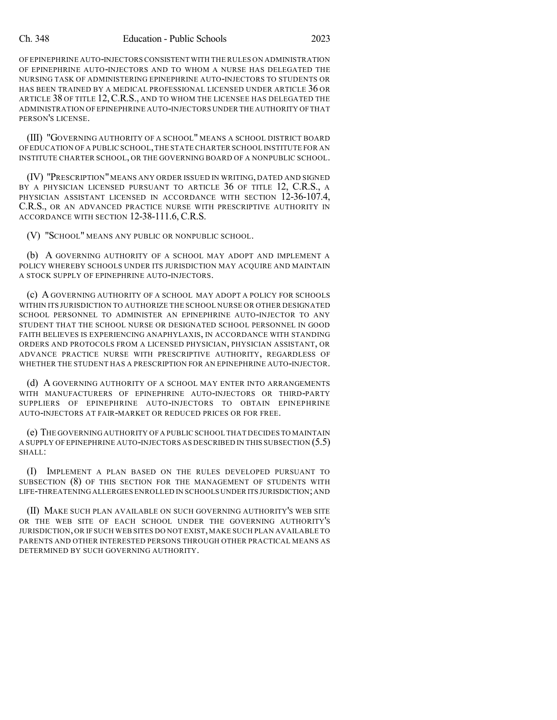OF EPINEPHRINE AUTO-INJECTORSCONSISTENT WITH THE RULES ON ADMINISTRATION OF EPINEPHRINE AUTO-INJECTORS AND TO WHOM A NURSE HAS DELEGATED THE NURSING TASK OF ADMINISTERING EPINEPHRINE AUTO-INJECTORS TO STUDENTS OR HAS BEEN TRAINED BY A MEDICAL PROFESSIONAL LICENSED UNDER ARTICLE 36 OR ARTICLE 38 OF TITLE 12, C.R.S., AND TO WHOM THE LICENSEE HAS DELEGATED THE ADMINISTRATION OF EPINEPHRINE AUTO-INJECTORS UNDER THE AUTHORITY OFTHAT PERSON'S LICENSE.

(III) "GOVERNING AUTHORITY OF A SCHOOL" MEANS A SCHOOL DISTRICT BOARD OFEDUCATION OF A PUBLIC SCHOOL,THE STATE CHARTER SCHOOL INSTITUTE FOR AN INSTITUTE CHARTER SCHOOL, OR THE GOVERNING BOARD OF A NONPUBLIC SCHOOL.

(IV) "PRESCRIPTION"MEANS ANY ORDER ISSUED IN WRITING, DATED AND SIGNED BY A PHYSICIAN LICENSED PURSUANT TO ARTICLE 36 OF TITLE 12, C.R.S., A PHYSICIAN ASSISTANT LICENSED IN ACCORDANCE WITH SECTION 12-36-107.4, C.R.S., OR AN ADVANCED PRACTICE NURSE WITH PRESCRIPTIVE AUTHORITY IN ACCORDANCE WITH SECTION 12-38-111.6, C.R.S.

(V) "SCHOOL" MEANS ANY PUBLIC OR NONPUBLIC SCHOOL.

(b) A GOVERNING AUTHORITY OF A SCHOOL MAY ADOPT AND IMPLEMENT A POLICY WHEREBY SCHOOLS UNDER ITS JURISDICTION MAY ACQUIRE AND MAINTAIN A STOCK SUPPLY OF EPINEPHRINE AUTO-INJECTORS.

(c) A GOVERNING AUTHORITY OF A SCHOOL MAY ADOPT A POLICY FOR SCHOOLS WITHIN ITS JURISDICTION TO AUTHORIZE THE SCHOOL NURSE OR OTHER DESIGNATED SCHOOL PERSONNEL TO ADMINISTER AN EPINEPHRINE AUTO-INJECTOR TO ANY STUDENT THAT THE SCHOOL NURSE OR DESIGNATED SCHOOL PERSONNEL IN GOOD FAITH BELIEVES IS EXPERIENCING ANAPHYLAXIS, IN ACCORDANCE WITH STANDING ORDERS AND PROTOCOLS FROM A LICENSED PHYSICIAN, PHYSICIAN ASSISTANT, OR ADVANCE PRACTICE NURSE WITH PRESCRIPTIVE AUTHORITY, REGARDLESS OF WHETHER THE STUDENT HAS A PRESCRIPTION FOR AN EPINEPHRINE AUTO-INJECTOR.

(d) A GOVERNING AUTHORITY OF A SCHOOL MAY ENTER INTO ARRANGEMENTS WITH MANUFACTURERS OF EPINEPHRINE AUTO-INJECTORS OR THIRD-PARTY SUPPLIERS OF EPINEPHRINE AUTO-INJECTORS TO OBTAIN EPINEPHRINE AUTO-INJECTORS AT FAIR-MARKET OR REDUCED PRICES OR FOR FREE.

(e) THE GOVERNING AUTHORITY OF A PUBLIC SCHOOL THAT DECIDES TO MAINTAIN A SUPPLY OF EPINEPHRINE AUTO-INJECTORS AS DESCRIBED IN THIS SUBSECTION (5.5) SHALL:

(I) IMPLEMENT A PLAN BASED ON THE RULES DEVELOPED PURSUANT TO SUBSECTION (8) OF THIS SECTION FOR THE MANAGEMENT OF STUDENTS WITH LIFE-THREATENING ALLERGIES ENROLLED IN SCHOOLS UNDER ITS JURISDICTION;AND

(II) MAKE SUCH PLAN AVAILABLE ON SUCH GOVERNING AUTHORITY'S WEB SITE OR THE WEB SITE OF EACH SCHOOL UNDER THE GOVERNING AUTHORITY'S JURISDICTION, OR IF SUCH WEB SITES DO NOT EXIST, MAKE SUCH PLAN AVAILABLE TO PARENTS AND OTHER INTERESTED PERSONS THROUGH OTHER PRACTICAL MEANS AS DETERMINED BY SUCH GOVERNING AUTHORITY.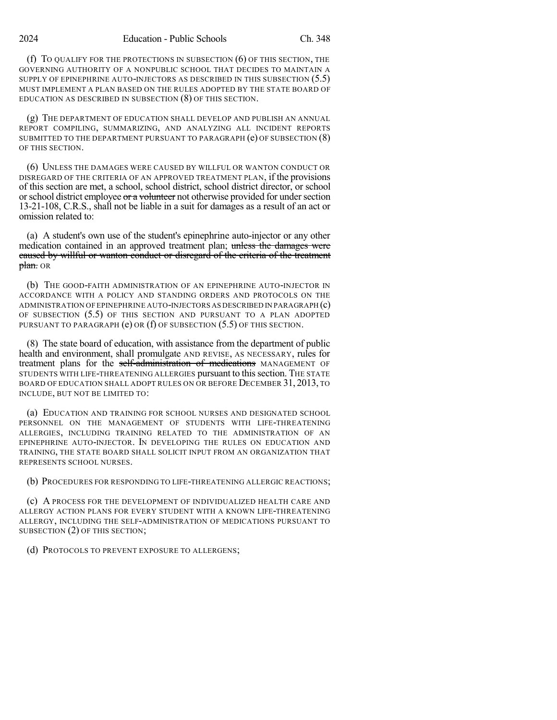(f) TO QUALIFY FOR THE PROTECTIONS IN SUBSECTION (6) OF THIS SECTION, THE GOVERNING AUTHORITY OF A NONPUBLIC SCHOOL THAT DECIDES TO MAINTAIN A SUPPLY OF EPINEPHRINE AUTO-INJECTORS AS DESCRIBED IN THIS SUBSECTION (5.5) MUST IMPLEMENT A PLAN BASED ON THE RULES ADOPTED BY THE STATE BOARD OF EDUCATION AS DESCRIBED IN SUBSECTION (8) OF THIS SECTION.

(g) THE DEPARTMENT OF EDUCATION SHALL DEVELOP AND PUBLISH AN ANNUAL REPORT COMPILING, SUMMARIZING, AND ANALYZING ALL INCIDENT REPORTS SUBMITTED TO THE DEPARTMENT PURSUANT TO PARAGRAPH (e) OF SUBSECTION (8) OF THIS SECTION.

(6) UNLESS THE DAMAGES WERE CAUSED BY WILLFUL OR WANTON CONDUCT OR DISREGARD OF THE CRITERIA OF AN APPROVED TREATMENT PLAN, if the provisions of this section are met, a school, school district, school district director, or school or school district employee or a volunteer not otherwise provided for under section 13-21-108, C.R.S., shall not be liable in a suit for damages as a result of an act or omission related to:

(a) A student's own use of the student's epinephrine auto-injector or any other medication contained in an approved treatment plan; unless the damages were caused by willful or wanton conduct or disregard of the criteria of the treatment plan. OR

(b) THE GOOD-FAITH ADMINISTRATION OF AN EPINEPHRINE AUTO-INJECTOR IN ACCORDANCE WITH A POLICY AND STANDING ORDERS AND PROTOCOLS ON THE ADMINISTRATION OF EPINEPHRINE AUTO-INJECTORS AS DESCRIBED IN PARAGRAPH (c) OF SUBSECTION (5.5) OF THIS SECTION AND PURSUANT TO A PLAN ADOPTED PURSUANT TO PARAGRAPH  $(e)$  OR  $(f)$  OF SUBSECTION  $(5.5)$  OF THIS SECTION.

(8) The state board of education, with assistance from the department of public health and environment, shall promulgate AND REVISE, AS NECESSARY, rules for treatment plans for the self-administration of medications MANAGEMENT OF STUDENTS WITH LIFE-THREATENING ALLERGIES pursuant to this section. THE STATE BOARD OF EDUCATION SHALL ADOPT RULES ON OR BEFORE DECEMBER 31, 2013, TO INCLUDE, BUT NOT BE LIMITED TO:

(a) EDUCATION AND TRAINING FOR SCHOOL NURSES AND DESIGNATED SCHOOL PERSONNEL ON THE MANAGEMENT OF STUDENTS WITH LIFE-THREATENING ALLERGIES, INCLUDING TRAINING RELATED TO THE ADMINISTRATION OF AN EPINEPHRINE AUTO-INJECTOR. IN DEVELOPING THE RULES ON EDUCATION AND TRAINING, THE STATE BOARD SHALL SOLICIT INPUT FROM AN ORGANIZATION THAT REPRESENTS SCHOOL NURSES.

(b) PROCEDURES FOR RESPONDING TO LIFE-THREATENING ALLERGIC REACTIONS;

(c) A PROCESS FOR THE DEVELOPMENT OF INDIVIDUALIZED HEALTH CARE AND ALLERGY ACTION PLANS FOR EVERY STUDENT WITH A KNOWN LIFE-THREATENING ALLERGY, INCLUDING THE SELF-ADMINISTRATION OF MEDICATIONS PURSUANT TO SUBSECTION (2) OF THIS SECTION;

(d) PROTOCOLS TO PREVENT EXPOSURE TO ALLERGENS;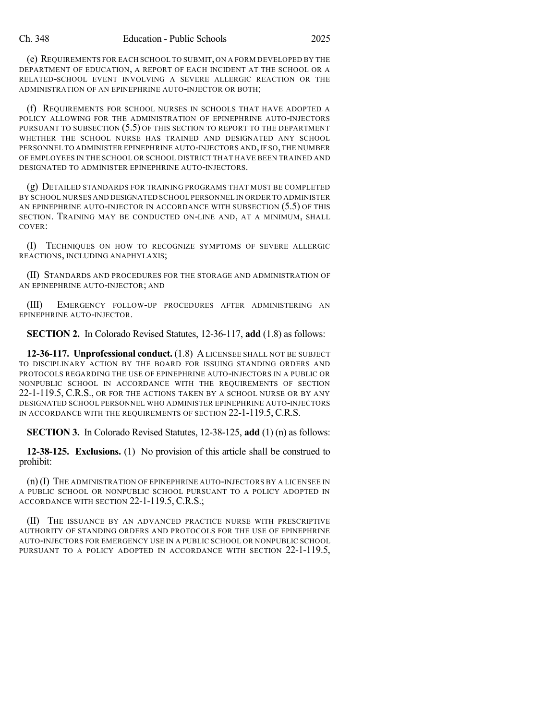(e) REQUIREMENTS FOR EACH SCHOOL TO SUBMIT, ON A FORM DEVELOPED BY THE DEPARTMENT OF EDUCATION, A REPORT OF EACH INCIDENT AT THE SCHOOL OR A RELATED-SCHOOL EVENT INVOLVING A SEVERE ALLERGIC REACTION OR THE ADMINISTRATION OF AN EPINEPHRINE AUTO-INJECTOR OR BOTH;

(f) REQUIREMENTS FOR SCHOOL NURSES IN SCHOOLS THAT HAVE ADOPTED A POLICY ALLOWING FOR THE ADMINISTRATION OF EPINEPHRINE AUTO-INJECTORS PURSUANT TO SUBSECTION (5.5) OF THIS SECTION TO REPORT TO THE DEPARTMENT WHETHER THE SCHOOL NURSE HAS TRAINED AND DESIGNATED ANY SCHOOL PERSONNEL TO ADMINISTER EPINEPHRINE AUTO-INJECTORS AND, IF SO,THE NUMBER OF EMPLOYEES IN THE SCHOOL OR SCHOOL DISTRICT THAT HAVE BEEN TRAINED AND DESIGNATED TO ADMINISTER EPINEPHRINE AUTO-INJECTORS.

(g) DETAILED STANDARDS FOR TRAINING PROGRAMS THAT MUST BE COMPLETED BY SCHOOL NURSES AND DESIGNATED SCHOOL PERSONNEL IN ORDER TO ADMINISTER AN EPINEPHRINE AUTO-INJECTOR IN ACCORDANCE WITH SUBSECTION (5.5) OF THIS SECTION. TRAINING MAY BE CONDUCTED ON-LINE AND, AT A MINIMUM, SHALL COVER:

(I) TECHNIQUES ON HOW TO RECOGNIZE SYMPTOMS OF SEVERE ALLERGIC REACTIONS, INCLUDING ANAPHYLAXIS;

(II) STANDARDS AND PROCEDURES FOR THE STORAGE AND ADMINISTRATION OF AN EPINEPHRINE AUTO-INJECTOR; AND

(III) EMERGENCY FOLLOW-UP PROCEDURES AFTER ADMINISTERING AN EPINEPHRINE AUTO-INJECTOR.

**SECTION 2.** In Colorado Revised Statutes, 12-36-117, **add** (1.8) as follows:

**12-36-117. Unprofessional conduct.** (1.8) ALICENSEE SHALL NOT BE SUBJECT TO DISCIPLINARY ACTION BY THE BOARD FOR ISSUING STANDING ORDERS AND PROTOCOLS REGARDING THE USE OF EPINEPHRINE AUTO-INJECTORS IN A PUBLIC OR NONPUBLIC SCHOOL IN ACCORDANCE WITH THE REQUIREMENTS OF SECTION 22-1-119.5, C.R.S., OR FOR THE ACTIONS TAKEN BY A SCHOOL NURSE OR BY ANY DESIGNATED SCHOOL PERSONNEL WHO ADMINISTER EPINEPHRINE AUTO-INJECTORS IN ACCORDANCE WITH THE REQUIREMENTS OF SECTION 22-1-119.5, C.R.S.

**SECTION 3.** In Colorado Revised Statutes, 12-38-125, **add** (1) (n) as follows:

**12-38-125. Exclusions.** (1) No provision of this article shall be construed to prohibit:

(n) (I) THE ADMINISTRATION OF EPINEPHRINE AUTO-INJECTORS BY A LICENSEE IN A PUBLIC SCHOOL OR NONPUBLIC SCHOOL PURSUANT TO A POLICY ADOPTED IN ACCORDANCE WITH SECTION 22-1-119.5, C.R.S.;

(II) THE ISSUANCE BY AN ADVANCED PRACTICE NURSE WITH PRESCRIPTIVE AUTHORITY OF STANDING ORDERS AND PROTOCOLS FOR THE USE OF EPINEPHRINE AUTO-INJECTORS FOR EMERGENCY USE IN A PUBLIC SCHOOL OR NONPUBLIC SCHOOL PURSUANT TO A POLICY ADOPTED IN ACCORDANCE WITH SECTION 22-1-119.5,